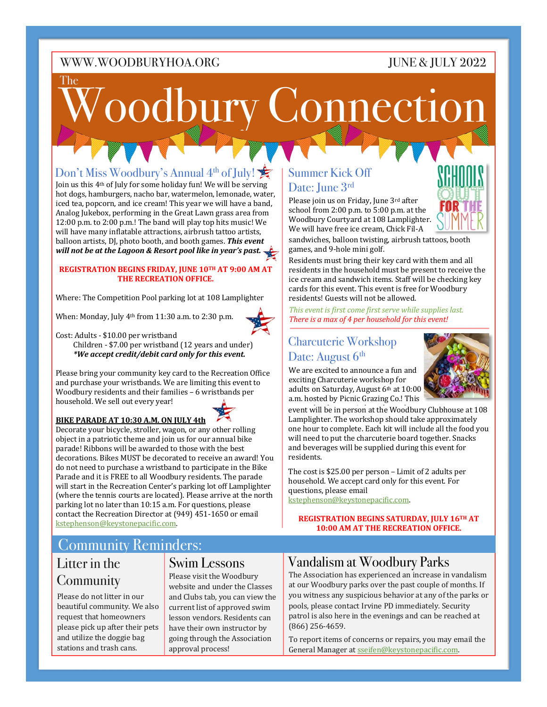### JUNE & JULY 2022

# oodbury Connection The

## Don't Miss Woodbury's Annual  $4<sup>th</sup>$  of July!

Join us this 4<sup>th</sup> of July for some holiday fun! We will be serving  $\Box$  Date:  $\Box$  Iune  $3^{\text{rd}}$ hot dogs, hamburgers, nacho bar, watermelon, lemonade, water, iced tea, popcorn, and ice cream! This year we will have a band, Analog Jukebox, performing in the Great Lawn grass area from  $12:00$  p.m. to  $2:00$  p.m.! The band will play top hits music! We will have many inflatable attractions, airbrush tattoo artists, balloon artists, DJ, photo booth, and booth games. **This event** will not be at the Lagoon & Resort pool like in year's past.

#### **REGISTRATION BEGINS FRIDAY, JUNE 10TH AT 9:00 AM AT THE RECREATION OFFICE.**

Where: The Competition Pool parking lot at 108 Lamplighter

When: Monday, July  $4<sup>th</sup>$  from 11:30 a.m. to 2:30 p.m.



Cost: Adults - \$10.00 per wristband

Children -  $$7.00$  per wristband  $(12 \text{ years and under})$  *\*We accept credit/debit card only for this event.*

Please bring your community key card to the Recreation Office and purchase your wristbands. We are limiting this event to Woodbury residents and their families - 6 wristbands per household. We sell out every year!



#### **BIKE PARADE AT 10:30 A.M. ON JULY 4th**

Decorate your bicycle, stroller, wagon, or any other rolling object in a patriotic theme and join us for our annual bike parade! Ribbons will be awarded to those with the best decorations. Bikes MUST be decorated to receive an award! You do not need to purchase a wristband to participate in the Bike Parade and it is FREE to all Woodbury residents. The parade will start in the Recreation Center's parking lot off Lamplighter (where the tennis courts are located). Please arrive at the north parking lot no later than 10:15 a.m. For questions, please contact the Recreation Director at (949) 451-1650 or email kstephenson@keystonepacific.com.

## Community Reminders: Litter in the

## **Community**

Please do not litter in our beautiful community. We also request that homeowners please pick up after their pets and utilize the doggie bag stations and trash cans.

## Swim Lessons

Please visit the Woodbury website and under the Classes and Clubs tab, you can view the current list of approved swim lesson vendors. Residents can have their own instructor by going through the Association approval process!

## Summer Kick Off

Please join us on Friday, June 3rd after school from  $2:00$  p.m. to  $5:00$  p.m. at the Woodbury Courtyard at 108 Lamplighter. We will have free ice cream, Chick Fil-A



sandwiches, balloon twisting, airbrush tattoos, booth games, and 9-hole mini golf.

residents must bring their key card with them and an<br>residents in the household must be present to receive the residents in the nousehold must be present to receive the<br>ice cream and sandwich items. Staff will be checking key  $\mu$  is compared to  $\mu$  and  $\mu$  and  $\mu$  and  $\mu$  is contributions. cards for this event. This event is free for Woodbury residents! Guests will not be allowed. Residents must bring their key card with them and all

This event is first come first serve while supplies last. There is a max of 4 per household for this event!

#### $Chapter 6$ *Figurerig* Workshap Charcuterie Workshop Date: August 6<sup>th</sup>

We are excited to announce a fun and exciting Charcuterie workshop for adults on Saturday, August 6th at 10:00 a.m. hosted by Picnic Grazing Co.! This



event will be in person at the Woodbury Clubhouse at 108 one hour to complete. Each kit will include all the food you will need to put the charcuterie board together. Snacks and beverages will be supplied during this event for Lamplighter. The workshop should take approximately residents.

The cost is \$25.00 per person – Limit of 2 adults per household. We accept card only for this event. For **10:00 AM AT THE RECREATION**  questions, please email 

**OFFICE.** kstephenson@keystonepacific.com. 

**REGISTRATION BEGINS SATURDAY, JULY 16TH AT 10:00 AM AT THE RECREATION OFFICE.** 

## Vandalism at Woodbury Parks

The Association has experienced an increase in vandalism at our Woodbury parks over the past couple of months. If you witness any suspicious behavior at any of the parks or pools, please contact Irvine PD immediately. Security patrol is also here in the evenings and can be reached at (866) 256-4659. 

To report items of concerns or repairs, you may email the General Manager at sseifen@keystonepacific.com.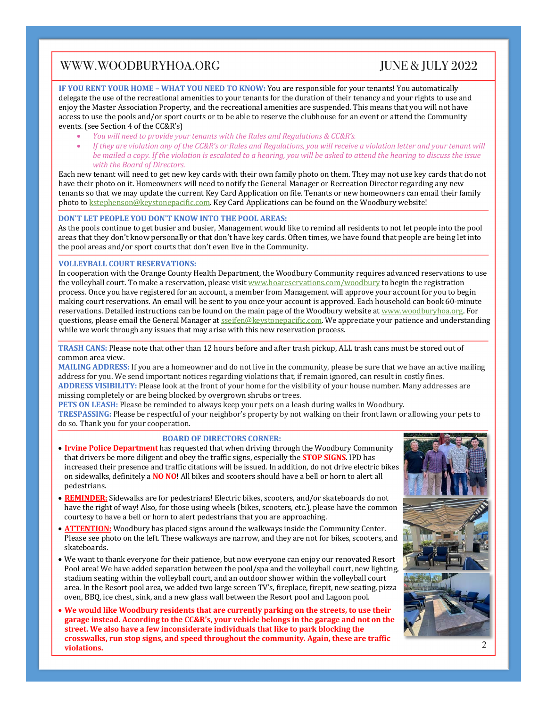## $JUNE & JULY 2022$

**IF YOU RENT YOUR HOME - WHAT YOU NEED TO KNOW: You are responsible for your tenants! You automatically** delegate the use of the recreational amenities to your tenants for the duration of their tenancy and your rights to use and enjoy the Master Association Property, and the recreational amenities are suspended. This means that you will not have access to use the pools and/or sport courts or to be able to reserve the clubhouse for an event or attend the Community events. (see Section 4 of the CC&R's)

- *You will need to provide your tenants with the Rules and Regulations & CC&R's.*
- *If* they are violation any of the CC&R's or Rules and Regulations, you will receive a violation letter and your tenant will *be mailed a copy.* If the violation is escalated to a hearing, you will be asked to attend the hearing to discuss the issue *with the Board of Directors.*

Each new tenant will need to get new key cards with their own family photo on them. They may not use key cards that do not have their photo on it. Homeowners will need to notify the General Manager or Recreation Director regarding any new tenants so that we may update the current Key Card Application on file. Tenants or new homeowners can email their family photo to kstephenson@keystonepacific.com. Key Card Applications can be found on the Woodbury website!

#### **DON'T LET PEOPLE YOU DON'T KNOW INTO THE POOL AREAS:**

As the pools continue to get busier and busier, Management would like to remind all residents to not let people into the pool areas that they don't know personally or that don't have key cards. Often times, we have found that people are being let into the pool areas and/or sport courts that don't even live in the Community.

#### **VOLLEYBALL COURT RESERVATIONS:**

In cooperation with the Orange County Health Department, the Woodbury Community requires advanced reservations to use the volleyball court. To make a reservation, please visit www.hoareservations.com/woodbury to begin the registration process. Once you have registered for an account, a member from Management will approve your account for you to begin making court reservations. An email will be sent to you once your account is approved. Each household can book 60-minute reservations. Detailed instructions can be found on the main page of the Woodbury website at www.woodburyhoa.org. For questions, please email the General Manager at secifen@keystonepacific.com. We appreciate your patience and understanding while we work through any issues that may arise with this new reservation process.

TRASH CANS: Please note that other than 12 hours before and after trash pickup, ALL trash cans must be stored out of common area view.

**MAILING ADDRESS:** If you are a homeowner and do not live in the community, please be sure that we have an active mailing address for you. We send important notices regarding violations that, if remain ignored, can result in costly fines.

ADDRESS VISIBILITY: Please look at the front of your home for the visibility of your house number. Many addresses are missing completely or are being blocked by overgrown shrubs or trees.

**PETS ON LEASH:** Please be reminded to always keep your pets on a leash during walks in Woodbury.

**TRESPASSING:** Please be respectful of your neighbor's property by not walking on their front lawn or allowing your pets to do so. Thank you for your cooperation.

#### **BOARD OF DIRECTORS CORNER:**

- Irvine Police Department has requested that when driving through the Woodbury Community that drivers be more diligent and obey the traffic signs, especially the **STOP SIGNS**. IPD has increased their presence and traffic citations will be issued. In addition, do not drive electric bikes on sidewalks, definitely a **NO NO**! All bikes and scooters should have a bell or horn to alert all pedestrians.
- REMINDER: Sidewalks are for pedestrians! Electric bikes, scooters, and/or skateboards do not have the right of way! Also, for those using wheels (bikes, scooters, etc.), please have the common courtesy to have a bell or horn to alert pedestrians that you are approaching.
- **ATTENTION:** Woodbury has placed signs around the walkways inside the Community Center. Please see photo on the left. These walkways are narrow, and they are not for bikes, scooters, and skateboards.
- We want to thank everyone for their patience, but now everyone can enjoy our renovated Resort Pool area! We have added separation between the pool/spa and the volleyball court, new lighting, stadium seating within the volleyball court, and an outdoor shower within the volleyball court area. In the Resort pool area, we added two large screen TV's, fireplace, firepit, new seating, pizza oven, BBQ, ice chest, sink, and a new glass wall between the Resort pool and Lagoon pool.
- We would like Woodbury residents that are currently parking on the streets, to use their garage instead. According to the CC&R's, your vehicle belongs in the garage and not on the **street.** We also have a few inconsiderate individuals that like to park blocking the crosswalks, run stop signs, and speed throughout the community. Again, these are traffic **violations.**

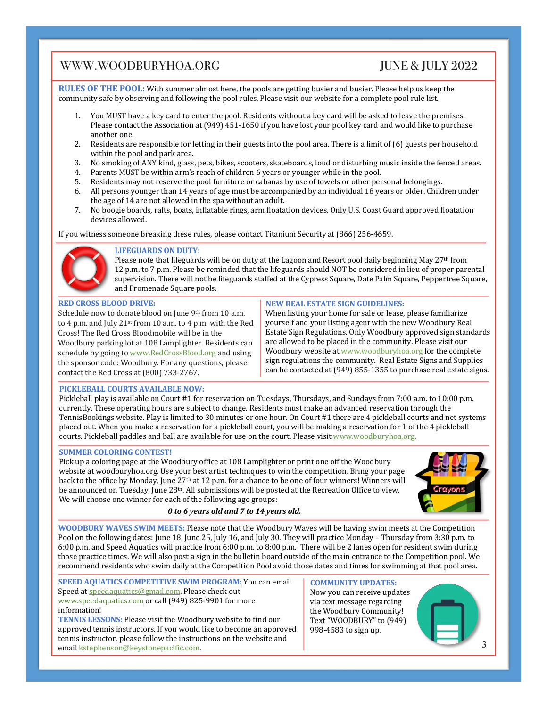## $JUNE & JULY 2022$

**RULES OF THE POOL:** With summer almost here, the pools are getting busier and busier. Please help us keep the community safe by observing and following the pool rules. Please visit our website for a complete pool rule list.

- 1. You MUST have a key card to enter the pool. Residents without a key card will be asked to leave the premises. Please contact the Association at (949) 451-1650 if you have lost your pool key card and would like to purchase another one.
- 2. Residents are responsible for letting in their guests into the pool area. There is a limit of  $(6)$  guests per household within the pool and park area.
- 3. No smoking of ANY kind, glass, pets, bikes, scooters, skateboards, loud or disturbing music inside the fenced areas.
- 4. Parents MUST be within arm's reach of children 6 years or younger while in the pool.
- 5. Residents may not reserve the pool furniture or cabanas by use of towels or other personal belongings.
- 6. All persons younger than 14 years of age must be accompanied by an individual 18 years or older. Children under the age of 14 are not allowed in the spa without an adult.
- 7. No boogie boards, rafts, boats, inflatable rings, arm floatation devices. Only U.S. Coast Guard approved floatation devices allowed.

If you witness someone breaking these rules, please contact Titanium Security at (866) 256-4659.



#### **LIFEGUARDS ON DUTY:**

Please note that lifeguards will be on duty at the Lagoon and Resort pool daily beginning May  $27<sup>th</sup>$  from 12 p.m. to 7 p.m. Please be reminded that the lifeguards should NOT be considered in lieu of proper parental supervision. There will not be lifeguards staffed at the Cypress Square, Date Palm Square, Peppertree Square, and Promenade Square pools.

#### **RED CROSS BLOOD DRIVE:**

Schedule now to donate blood on June 9th from 10 a.m. to  $4$  p.m. and July  $21$ <sup>st</sup> from  $10$  a.m. to  $4$  p.m. with the Red Cross! The Red Cross Bloodmobile will be in the Woodbury parking lot at 108 Lamplighter. Residents can schedule by going to www.RedCrossBlood.org and using the sponsor code: Woodbury. For any questions, please contact the Red Cross at (800) 733-2767.

#### **NEW REAL ESTATE SIGN GUIDELINES:**

When listing your home for sale or lease, please familiarize yourself and your listing agent with the new Woodbury Real Estate Sign Regulations. Only Woodbury approved sign standards are allowed to be placed in the community. Please visit our Woodbury website at www.woodburyhoa.org for the complete sign regulations the community. Real Estate Signs and Supplies can be contacted at (949) 855-1355 to purchase real estate signs.

#### **PICKLEBALL COURTS AVAILABLE NOW:**

Pickleball play is available on Court #1 for reservation on Tuesdays, Thursdays, and Sundays from 7:00 a.m. to 10:00 p.m. currently. These operating hours are subject to change. Residents must make an advanced reservation through the TennisBookings website. Play is limited to 30 minutes or one hour. On Court #1 there are 4 pickleball courts and net systems placed out. When you make a reservation for a pickleball court, you will be making a reservation for 1 of the 4 pickleball courts. Pickleball paddles and ball are available for use on the court. Please visit www.woodburyhoa.org.

#### **SUMMER COLORING CONTEST!**

Pick up a coloring page at the Woodbury office at 108 Lamplighter or print one off the Woodbury website at woodburyhoa.org. Use your best artist techniques to win the competition. Bring your page back to the office by Monday, June 27<sup>th</sup> at 12 p.m. for a chance to be one of four winners! Winners will be announced on Tuesday, June 28<sup>th</sup>. All submissions will be posted at the Recreation Office to view. We will choose one winner for each of the following age groups:



#### *0 to 6 years old and 7 to 14 years old.*

**WOODBURY WAVES SWIM MEETS:** Please note that the Woodbury Waves will be having swim meets at the Competition Pool on the following dates: June 18, June 25, July 16, and July 30. They will practice Monday – Thursday from 3:30 p.m. to 6:00 p.m. and Speed Aquatics will practice from 6:00 p.m. to 8:00 p.m. There will be 2 lanes open for resident swim during those practice times. We will also post a sign in the bulletin board outside of the main entrance to the Competition pool. We recommend residents who swim daily at the Competition Pool avoid those dates and times for swimming at that pool area.

**SPEED AQUATICS COMPETITIVE SWIM PROGRAM: You can email** Speed at speedaquatics@gmail.com. Please check out www.speedaquatics.com or call (949) 825-9901 for more information!

**TENNIS LESSONS:** Please visit the Woodbury website to find our approved tennis instructors. If you would like to become an approved tennis instructor, please follow the instructions on the website and email kstephenson@keystonepacific.com.

**COMMUNITY UPDATES:** Now you can receive updates via text message regarding the Woodbury Community! Text "WOODBURY" to (949)

998-4583 to sign up.



3